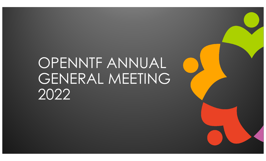# OPENNTF ANNUAL GENERAL MEETING 2022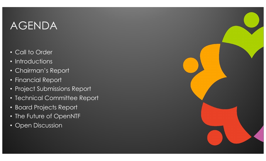## AGENDA

- Call to Order
- Introductions
- Chairman's Report
- Financial Report
- Project Submissions Report
- Technical Committee Report
- Board Projects Report
- The Future of OpenNTF
- Open Discussion

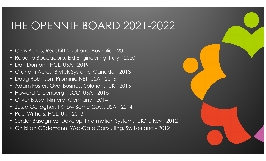#### THE OPENNTF BOARD 2021-2022

- Chris Bekas, Redshift Solutions, Australia 2021
- Roberto Boccadoro, Eld Engineering, Italy 2020
- Dan Dumont, HCL, USA 2019
- Graham Acres, Brytek Systems, Canada 2018
- Doug Robinson, Prominic.NET, USA 2016
- Adam Foster, Oval Business Solutions, UK 2015
- Howard Greenberg, TLCC, USA 2015
- Oliver Busse, Nintera, Germany 2014
- Jesse Gallagher, I Know Some Guys, USA 2014
- Paul Withers, HCL, UK 2013
- Serdar Basegmez, Developi Information Systems, UK/Turkey 2012
- Christian Güdemann, WebGate Consulting, Switzerland 2012

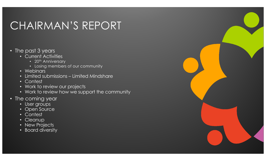## CHAIRMAN'S REPORT

- The past 3 years
	- Current Activities
		- 20<sup>th</sup> Anniversary
		- Losing members of our community
	- Webinars
	- Limited submissions Limited Mindshare
	- Contest
	- Work to review our projects
	- Work to review how we support the community
- The coming year
	- User groups
	- Open Source
	- Contest
	- Cleanup
	- New Projects
	- Board diversity

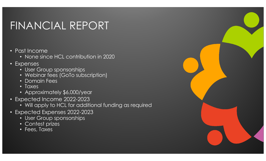# FINANCIAL REPORT

- Past Income
	- None since HCL contribution in 2020
- Expenses
	- User Group sponsorships
	- Webinar fees (GoTo subscription)
	- Domain Fees
	- Taxes
	- Approximately \$6,000/year
- Expected Income 2022-2023
	- Will apply to HCL for additional funding as required
- Expected Expenses 2022-2023
	- User Group sponsorships
	- Contest prizes
	- Fees, Taxes

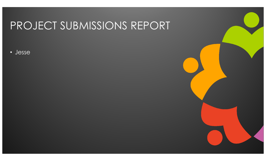# PROJECT SUBMISSIONS REPORT

• Jesse

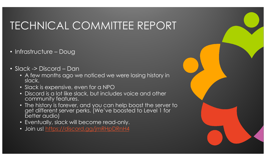## TECHNICAL COMMITTEE REPORT

- Infrastructure Doug
- Slack -> Discord Dan
	- A few months ago we noticed we were losing history in slack.
	- Slack is expensive, even for a NPO
	- Discord is a lot like slack, but includes voice and other community features.
	- The history is forever, and you can help boost the server to get different server perks. (We've boosted to Level 1 for better audio)
	- Eventually, slack will become read-only.
	- Join us[! https://discord.gg/jmRHpDRnH4](https://discord.gg/jmRHpDRnH4)

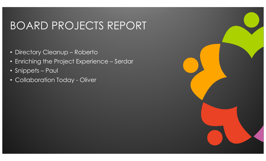#### BOARD PROJECTS REPORT

- Directory Cleanup Roberto
- Enriching the Project Experience Serdar
- Snippets Paul
- Collaboration Today Oliver

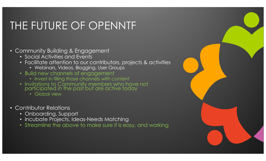# THE FUTURE OF OPENNTF

- Community Building & Engagement
	- Social Activities and Events
	- Facilitate attention to our contributors, projects & activities
		- Webinars, Videos, Blogging, User Groups
	- Build new channels of engagement
		- Invest in filling those channels with content
	- Invitations to Community members who have not participated in the past but are active today
		- Global view
- Contributor Relations
	- Onboarding, Support
	- Incubate Projects, Ideas-Needs Matching
	- Streamline the above to make sure it is easy, and working

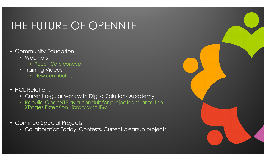# THE FUTURE OF OPENNTF

- Community Education
	- Webinars
		- Repair Café concept
	- Training Videos
		- New contributors
- HCL Relations
	- Current regular work with Digital Solutions Academy
	- Rebuild OpenNTF as a conduit for projects similar to the XPages Extension Library with IBM
- Continue Special Projects
	- Collaboration Today, Contests, Current cleanup projects